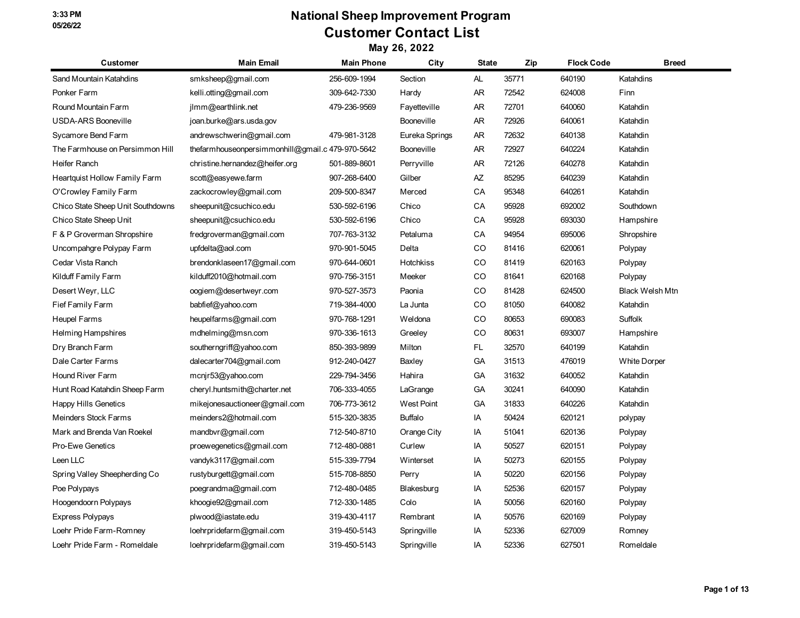# **National Sheep Improvement Program Customer Contact List**

| <b>Customer</b>                   | <b>Main Email</b>                                | <b>Main Phone</b> | City              | <b>State</b> | Zip   | <b>Flock Code</b> | <b>Breed</b>           |
|-----------------------------------|--------------------------------------------------|-------------------|-------------------|--------------|-------|-------------------|------------------------|
| Sand Mountain Katahdins           | smksheep@gmail.com                               | 256-609-1994      | Section           | AL           | 35771 | 640190            | Katahdins              |
| Ponker Farm                       | kelli.otting@gmail.com                           | 309-642-7330      | Hardy             | AR           | 72542 | 624008            | Finn                   |
| Round Mountain Farm               | ilmm@earthlink.net                               | 479-236-9569      | Fayetteville      | AR           | 72701 | 640060            | Katahdin               |
| <b>USDA-ARS Booneville</b>        | joan.burke@ars.usda.gov                          |                   | <b>Booneville</b> | AR           | 72926 | 640061            | Katahdin               |
| Sycamore Bend Farm                | andrewschwerin@gmail.com                         | 479-981-3128      | Eureka Springs    | AR           | 72632 | 640138            | Katahdin               |
| The Farmhouse on Persimmon Hill   | thefarmhouseonpersimmonhill@gmail.c 479-970-5642 |                   | Booneville        | AR           | 72927 | 640224            | Katahdin               |
| Heifer Ranch                      | christine.hernandez@heifer.org                   | 501-889-8601      | Perryville        | AR           | 72126 | 640278            | Katahdin               |
| Heartquist Hollow Family Farm     | scott@easyewe.farm                               | 907-268-6400      | Gilber            | AZ           | 85295 | 640239            | Katahdin               |
| O'Crowley Family Farm             | zackocrowley@gmail.com                           | 209-500-8347      | Merced            | CA           | 95348 | 640261            | Katahdin               |
| Chico State Sheep Unit Southdowns | sheepunit@csuchico.edu                           | 530-592-6196      | Chico             | CA           | 95928 | 692002            | Southdown              |
| Chico State Sheep Unit            | sheepunit@csuchico.edu                           | 530-592-6196      | Chico             | CA           | 95928 | 693030            | Hampshire              |
| F & P Groverman Shropshire        | fredgroverman@gmail.com                          | 707-763-3132      | Petaluma          | CА           | 94954 | 695006            | Shropshire             |
| Uncompangre Polypay Farm          | upfdelta@aol.com                                 | 970-901-5045      | Delta             | CO           | 81416 | 620061            | Polypay                |
| Cedar Vista Ranch                 | brendonklaseen17@gmail.com                       | 970-644-0601      | <b>Hotchkiss</b>  | CO           | 81419 | 620163            | Polypay                |
| Kilduff Family Farm               | kilduff2010@hotmail.com                          | 970-756-3151      | Meeker            | CO           | 81641 | 620168            | Polypay                |
| Desert Weyr, LLC                  | oogiem@desertweyr.com                            | 970-527-3573      | Paonia            | CO           | 81428 | 624500            | <b>Black Welsh Mtn</b> |
| Fief Family Farm                  | babfief@yahoo.com                                | 719-384-4000      | La Junta          | CO           | 81050 | 640082            | Katahdin               |
| Heupel Farms                      | heupelfarms@gmail.com                            | 970-768-1291      | Weldona           | CO           | 80653 | 690083            | Suffolk                |
| Helming Hampshires                | mdhelming@msn.com                                | 970-336-1613      | Greeley           | CO           | 80631 | 693007            | Hampshire              |
| Dry Branch Farm                   | southerngriff@yahoo.com                          | 850-393-9899      | Milton            | FL           | 32570 | 640199            | Katahdin               |
| Dale Carter Farms                 | dalecarter704@gmail.com                          | 912-240-0427      | Baxley            | GA           | 31513 | 476019            | <b>White Dorper</b>    |
| Hound River Farm                  | mcnjr53@yahoo.com                                | 229-794-3456      | Hahira            | GА           | 31632 | 640052            | Katahdin               |
| Hunt Road Katahdin Sheep Farm     | cheryl.huntsmith@charter.net                     | 706-333-4055      | LaGrange          | GА           | 30241 | 640090            | Katahdin               |
| <b>Happy Hills Genetics</b>       | mikejonesauctioneer@gmail.com                    | 706-773-3612      | <b>West Point</b> | GA           | 31833 | 640226            | Katahdin               |
| Meinders Stock Farms              | meinders2@hotmail.com                            | 515-320-3835      | <b>Buffalo</b>    | IA           | 50424 | 620121            | polypay                |
| Mark and Brenda Van Roekel        | mandbvr@gmail.com                                | 712-540-8710      | Orange City       | IA           | 51041 | 620136            | Polypay                |
| <b>Pro-Ewe Genetics</b>           | proewegenetics@gmail.com                         | 712-480-0881      | Curlew            | IA           | 50527 | 620151            | Polypay                |
| Leen LLC                          | vandyk3117@gmail.com                             | 515-339-7794      | Winterset         | IA           | 50273 | 620155            | Polypay                |
| Spring Valley Sheepherding Co     | rustyburgett@gmail.com                           | 515-708-8850      | Perry             | IA           | 50220 | 620156            | Polypay                |
| Poe Polypays                      | poegrandma@gmail.com                             | 712-480-0485      | Blakesburg        | IA           | 52536 | 620157            | Polypay                |
| Hoogendoorn Polypays              | khoogie92@gmail.com                              | 712-330-1485      | Colo              | IA           | 50056 | 620160            | Polypay                |
| Express Polypays                  | plwood@iastate.edu                               | 319-430-4117      | Rembrant          | IA           | 50576 | 620169            | Polypay                |
| Loehr Pride Farm-Romney           | loehrpridefarm@gmail.com                         | 319-450-5143      | Springville       | IA           | 52336 | 627009            | Romney                 |
| Loehr Pride Farm - Romeldale      | loehrpridefarm@gmail.com                         | 319-450-5143      | Springville       | IA           | 52336 | 627501            | Romeldale              |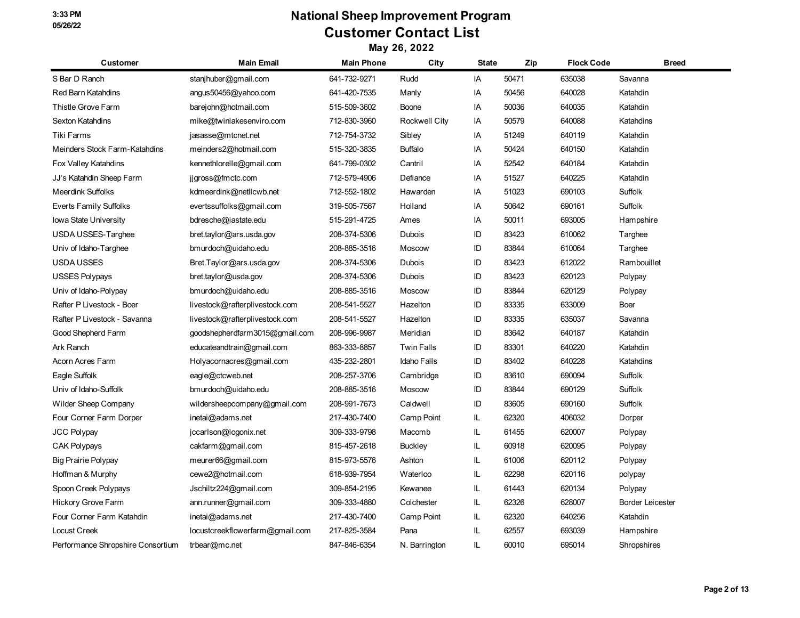# **National Sheep Improvement Program Customer Contact List**

| <b>Customer</b>                   | <b>Main Email</b>               | <b>Main Phone</b> | City              | <b>State</b> | Zip   | <b>Flock Code</b> | <b>Breed</b>            |
|-----------------------------------|---------------------------------|-------------------|-------------------|--------------|-------|-------------------|-------------------------|
| S Bar D Ranch                     | stanjhuber@gmail.com            | 641-732-9271      | Rudd              | IA           | 50471 | 635038            | Savanna                 |
| Red Barn Katahdins                | angus50456@yahoo.com            | 641-420-7535      | Manly             | IA           | 50456 | 640028            | Katahdin                |
| Thistle Grove Farm                | barejohn@hotmail.com            | 515-509-3602      | Boone             | IA           | 50036 | 640035            | Katahdin                |
| Sexton Katahdins                  | mike@twinlakesenviro.com        | 712-830-3960      | Rockwell City     | IA           | 50579 | 640088            | Katahdins               |
| Tiki Farms                        | jasasse@mtcnet.net              | 712-754-3732      | Sibley            | IA           | 51249 | 640119            | Katahdin                |
| Meinders Stock Farm-Katahdins     | meinders2@hotmail.com           | 515-320-3835      | <b>Buffalo</b>    | IA           | 50424 | 640150            | Katahdin                |
| Fox Valley Katahdins              | kennethlorelle@gmail.com        | 641-799-0302      | Cantril           | IA           | 52542 | 640184            | Katahdin                |
| JJ's Katahdin Sheep Farm          | jjgross@fmctc.com               | 712-579-4906      | Defiance          | IA           | 51527 | 640225            | Katahdin                |
| <b>Meerdink Suffolks</b>          | kdmeerdink@netllcwb.net         | 712-552-1802      | Hawarden          | IA           | 51023 | 690103            | Suffolk                 |
| <b>Everts Family Suffolks</b>     | evertssuffolks@gmail.com        | 319-505-7567      | Holland           | IA           | 50642 | 690161            | Suffolk                 |
| Iowa State University             | bdresche@iastate.edu            | 515-291-4725      | Ames              | IA           | 50011 | 693005            | Hampshire               |
| USDA USSES-Targhee                | bret.taylor@ars.usda.gov        | 208-374-5306      | Dubois            | ID           | 83423 | 610062            | Targhee                 |
| Univ of Idaho-Targhee             | bmurdoch@uidaho.edu             | 208-885-3516      | Moscow            | ID           | 83844 | 610064            | Targhee                 |
| <b>USDA USSES</b>                 | Bret.Taylor@ars.usda.gov        | 208-374-5306      | Dubois            | ID           | 83423 | 612022            | Rambouillet             |
| <b>USSES Polypays</b>             | bret.taylor@usda.gov            | 208-374-5306      | <b>Dubois</b>     | ID           | 83423 | 620123            | Polypay                 |
| Univ of Idaho-Polypay             | bmurdoch@uidaho.edu             | 208-885-3516      | Moscow            | ID           | 83844 | 620129            | Polypay                 |
| Rafter P Livestock - Boer         | livestock@rafterplivestock.com  | 208-541-5527      | Hazelton          | ID           | 83335 | 633009            | Boer                    |
| Rafter P Livestock - Savanna      | livestock@rafterplivestock.com  | 208-541-5527      | Hazelton          | ID           | 83335 | 635037            | Savanna                 |
| Good Shepherd Farm                | goodshepherdfarm3015@gmail.com  | 208-996-9987      | Meridian          | ID           | 83642 | 640187            | Katahdin                |
| Ark Ranch                         | educateandtrain@gmail.com       | 863-333-8857      | <b>Twin Falls</b> | ID           | 83301 | 640220            | Katahdin                |
| Acorn Acres Farm                  | Holyacornacres@gmail.com        | 435-232-2801      | Idaho Falls       | ID           | 83402 | 640228            | Katahdins               |
| Eagle Suffolk                     | eagle@ctcweb.net                | 208-257-3706      | Cambridge         | ID           | 83610 | 690094            | Suffolk                 |
| Univ of Idaho-Suffolk             | bmurdoch@uidaho.edu             | 208-885-3516      | Moscow            | ID           | 83844 | 690129            | Suffolk                 |
| <b>Wilder Sheep Company</b>       | wildersheepcompany@gmail.com    | 208-991-7673      | Caldwell          | ID           | 83605 | 690160            | Suffolk                 |
| Four Corner Farm Dorper           | inetai@adams.net                | 217-430-7400      | Camp Point        | IL.          | 62320 | 406032            | Dorper                  |
| <b>JCC Polypay</b>                | jccarlson@logonix.net           | 309-333-9798      | Macomb            | IL.          | 61455 | 620007            | Polypay                 |
| <b>CAK Polypays</b>               | cakfarm@gmail.com               | 815-457-2618      | <b>Buckley</b>    | IL.          | 60918 | 620095            | Polypay                 |
| Big Prairie Polypay               | meurer66@gmail.com              | 815-973-5576      | Ashton            | IL           | 61006 | 620112            | Polypay                 |
| Hoffman & Murphy                  | cewe2@hotmail.com               | 618-939-7954      | Waterloo          | IL.          | 62298 | 620116            | polypay                 |
| Spoon Creek Polypays              | Jschiltz224@gmail.com           | 309-854-2195      | Kewanee           | IL.          | 61443 | 620134            | Polypay                 |
| Hickory Grove Farm                | ann.runner@gmail.com            | 309-333-4880      | Colchester        | IL.          | 62326 | 628007            | <b>Border Leicester</b> |
| Four Corner Farm Katahdin         | inetai@adams.net                | 217-430-7400      | Camp Point        | IL.          | 62320 | 640256            | Katahdin                |
| <b>Locust Creek</b>               | locustcreekflowerfarm@gmail.com | 217-825-3584      | Pana              | IL           | 62557 | 693039            | Hampshire               |
| Performance Shropshire Consortium | trbear@mc.net                   | 847-846-6354      | N. Barrington     | IL.          | 60010 | 695014            | Shropshires             |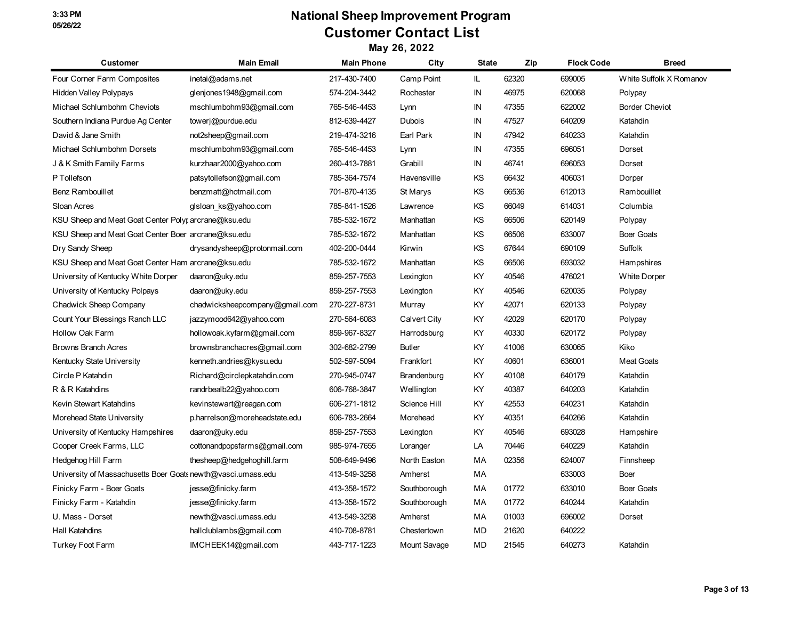# **National Sheep Improvement Program Customer Contact List**

| <b>Customer</b>                                              | <b>Main Email</b>              | <b>Main Phone</b> | City          | <b>State</b> | Zip   | <b>Flock Code</b> | <b>Breed</b>            |
|--------------------------------------------------------------|--------------------------------|-------------------|---------------|--------------|-------|-------------------|-------------------------|
| Four Corner Farm Composites                                  | inetai@adams.net               | 217-430-7400      | Camp Point    | IL.          | 62320 | 699005            | White Suffolk X Romanov |
| Hidden Valley Polypays                                       | glenjones1948@gmail.com        | 574-204-3442      | Rochester     | IN           | 46975 | 620068            | Polypay                 |
| Michael Schlumbohm Cheviots                                  | mschlumbohm93@gmail.com        | 765-546-4453      | Lynn          | IN           | 47355 | 622002            | <b>Border Cheviot</b>   |
| Southern Indiana Purdue Ag Center                            | towerj@purdue.edu              | 812-639-4427      | Dubois        | IN           | 47527 | 640209            | Katahdin                |
| David & Jane Smith                                           | not2sheep@gmail.com            | 219-474-3216      | Earl Park     | IN           | 47942 | 640233            | Katahdin                |
| Michael Schlumbohm Dorsets                                   | mschlumbohm93@gmail.com        | 765-546-4453      | Lynn          | IN           | 47355 | 696051            | Dorset                  |
| J & K Smith Family Farms                                     | kurzhaar2000@yahoo.com         | 260-413-7881      | Grabill       | IN           | 46741 | 696053            | Dorset                  |
| P Tollefson                                                  | patsytollefson@gmail.com       | 785-364-7574      | Havensville   | KS           | 66432 | 406031            | Dorper                  |
| Benz Rambouillet                                             | benzmatt@hotmail.com           | 701-870-4135      | St Marys      | ΚS           | 66536 | 612013            | Rambouillet             |
| Sloan Acres                                                  | glsloan ks@yahoo.com           | 785-841-1526      | Lawrence      | KS           | 66049 | 614031            | Columbia                |
| KSU Sheep and Meat Goat Center Polyr arcrane@ksu.edu         |                                | 785-532-1672      | Manhattan     | KS           | 66506 | 620149            | Polypay                 |
| KSU Sheep and Meat Goat Center Boer arcrane@ksu.edu          |                                | 785-532-1672      | Manhattan     | KS           | 66506 | 633007            | <b>Boer Goats</b>       |
| Dry Sandy Sheep                                              | drysandysheep@protonmail.com   | 402-200-0444      | Kirwin        | ΚS           | 67644 | 690109            | Suffolk                 |
| KSU Sheep and Meat Goat Center Ham arcrane@ksu.edu           |                                | 785-532-1672      | Manhattan     | KS           | 66506 | 693032            | Hampshires              |
| University of Kentucky White Dorper                          | daaron@uky.edu                 | 859-257-7553      | Lexington     | KY           | 40546 | 476021            | <b>White Dorper</b>     |
| University of Kentucky Polpays                               | daaron@uky.edu                 | 859-257-7553      | Lexington     | KY           | 40546 | 620035            | Polypay                 |
| <b>Chadwick Sheep Company</b>                                | chadwicksheepcompany@gmail.com | 270-227-8731      | Murray        | KY.          | 42071 | 620133            | Polypay                 |
| Count Your Blessings Ranch LLC                               | jazzymood642@yahoo.com         | 270-564-6083      | Calvert City  | KY           | 42029 | 620170            | Polypay                 |
| Hollow Oak Farm                                              | hollowoak.kyfarm@gmail.com     | 859-967-8327      | Harrodsburg   | KY           | 40330 | 620172            | Polypay                 |
| <b>Browns Branch Acres</b>                                   | brownsbranchacres@gmail.com    | 302-682-2799      | <b>Butler</b> | KY           | 41006 | 630065            | Kiko                    |
| Kentucky State University                                    | kenneth.andries@kysu.edu       | 502-597-5094      | Frankfort     | KY           | 40601 | 636001            | <b>Meat Goats</b>       |
| Circle P Katahdin                                            | Richard@circlepkatahdin.com    | 270-945-0747      | Brandenburg   | KY           | 40108 | 640179            | Katahdin                |
| R & R Katahdins                                              | randrbealb22@yahoo.com         | 606-768-3847      | Wellington    | KY           | 40387 | 640203            | Katahdin                |
| Kevin Stewart Katahdins                                      | kevinstewart@reagan.com        | 606-271-1812      | Science Hill  | KY.          | 42553 | 640231            | Katahdin                |
| Morehead State University                                    | p.harrelson@moreheadstate.edu  | 606-783-2664      | Morehead      | KY           | 40351 | 640266            | Katahdin                |
| University of Kentucky Hampshires                            | daaron@uky.edu                 | 859-257-7553      | Lexington     | KY           | 40546 | 693028            | Hampshire               |
| Cooper Creek Farms, LLC                                      | cottonandpopsfarms@gmail.com   | 985-974-7655      | Loranger      | LA           | 70446 | 640229            | Katahdin                |
| Hedgehog Hill Farm                                           | thesheep@hedgehoghill.farm     | 508-649-9496      | North Easton  | МA           | 02356 | 624007            | Finnsheep               |
| University of Massachusetts Boer Goats newth@vasci.umass.edu |                                | 413-549-3258      | Amherst       | МA           |       | 633003            | Boer                    |
| Finicky Farm - Boer Goats                                    | jesse@finicky.farm             | 413-358-1572      | Southborough  | МA           | 01772 | 633010            | <b>Boer Goats</b>       |
| Finicky Farm - Katahdin                                      | jesse@finicky.farm             | 413-358-1572      | Southborough  | МA           | 01772 | 640244            | Katahdin                |
| U. Mass - Dorset                                             | newth@vasci.umass.edu          | 413-549-3258      | Amherst       | МA           | 01003 | 696002            | Dorset                  |
| Hall Katahdins                                               | hallclublambs@gmail.com        | 410-708-8781      | Chestertown   | MD           | 21620 | 640222            |                         |
| Turkey Foot Farm                                             | IMCHEEK14@gmail.com            | 443-717-1223      | Mount Savage  | MD           | 21545 | 640273            | Katahdin                |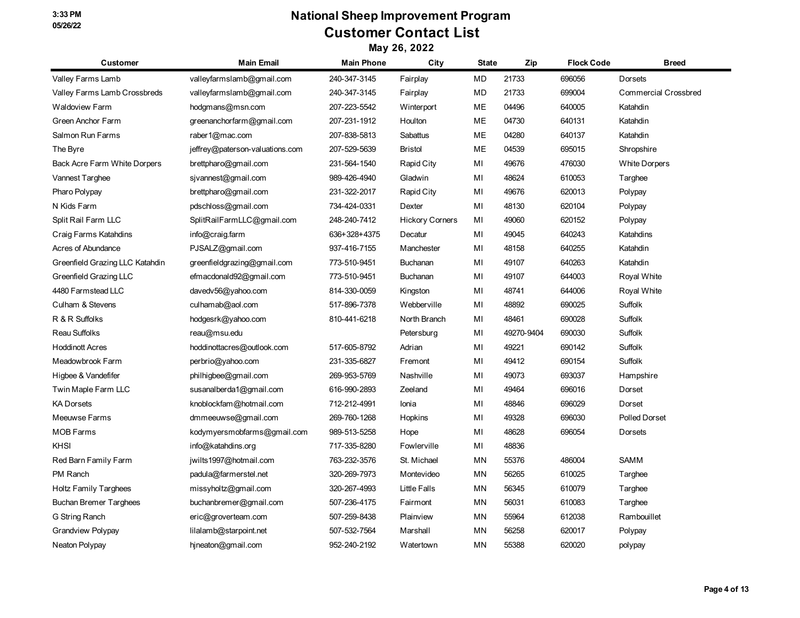# **National Sheep Improvement Program Customer Contact List**

| <b>Customer</b>                 | <b>Main Email</b>               | <b>Main Phone</b> | City                   | <b>State</b> | Zip        | <b>Flock Code</b> | <b>Breed</b>                |
|---------------------------------|---------------------------------|-------------------|------------------------|--------------|------------|-------------------|-----------------------------|
| Valley Farms Lamb               | valleyfarmslamb@gmail.com       | 240-347-3145      | Fairplay               | MD           | 21733      | 696056            | Dorsets                     |
| Valley Farms Lamb Crossbreds    | valleyfarmslamb@gmail.com       | 240-347-3145      | Fairplay               | <b>MD</b>    | 21733      | 699004            | <b>Commercial Crossbred</b> |
| Waldoview Farm                  | hodgmans@msn.com                | 207-223-5542      | Winterport             | ME           | 04496      | 640005            | Katahdin                    |
| Green Anchor Farm               | greenanchorfarm@gmail.com       | 207-231-1912      | Houlton                | ME           | 04730      | 640131            | Katahdin                    |
| Salmon Run Farms                | raber1@mac.com                  | 207-838-5813      | Sabattus               | ME           | 04280      | 640137            | Katahdin                    |
| The Byre                        | jeffrey@paterson-valuations.com | 207-529-5639      | <b>Bristol</b>         | ME           | 04539      | 695015            | Shropshire                  |
| Back Acre Farm White Dorpers    | brettpharo@gmail.com            | 231-564-1540      | Rapid City             | MI           | 49676      | 476030            | <b>White Dorpers</b>        |
| Vannest Targhee                 | sivannest@gmail.com             | 989-426-4940      | Gladwin                | MI           | 48624      | 610053            | Targhee                     |
| Pharo Polypay                   | brettpharo@gmail.com            | 231-322-2017      | Rapid City             | MI           | 49676      | 620013            | Polypay                     |
| N Kids Farm                     | pdschloss@gmail.com             | 734-424-0331      | Dexter                 | MI           | 48130      | 620104            | Polypay                     |
| Split Rail Farm LLC             | SplitRailFarmLLC@gmail.com      | 248-240-7412      | <b>Hickory Corners</b> | MI           | 49060      | 620152            | Polypay                     |
| Craig Farms Katahdins           | info@craig.farm                 | 636+328+4375      | Decatur                | MI           | 49045      | 640243            | Katahdins                   |
| Acres of Abundance              | PJSALZ@gmail.com                | 937-416-7155      | Manchester             | MI           | 48158      | 640255            | Katahdin                    |
| Greenfield Grazing LLC Katahdin | greenfieldgrazing@gmail.com     | 773-510-9451      | Buchanan               | MI           | 49107      | 640263            | Katahdin                    |
| Greenfield Grazing LLC          | efmacdonald92@gmail.com         | 773-510-9451      | Buchanan               | MI           | 49107      | 644003            | Royal White                 |
| 4480 Farmstead LLC              | davedv56@yahoo.com              | 814-330-0059      | Kingston               | MI           | 48741      | 644006            | Royal White                 |
| Culham & Stevens                | culhamab@aol.com                | 517-896-7378      | Webberville            | MI           | 48892      | 690025            | Suffolk                     |
| R & R Suffolks                  | hodgesrk@yahoo.com              | 810-441-6218      | North Branch           | MI           | 48461      | 690028            | Suffolk                     |
| Reau Suffolks                   | reau@msu.edu                    |                   | Petersburg             | MI           | 49270-9404 | 690030            | Suffolk                     |
| <b>Hoddinott Acres</b>          | hoddinottacres@outlook.com      | 517-605-8792      | Adrian                 | MI           | 49221      | 690142            | Suffolk                     |
| Meadowbrook Farm                | perbrio@yahoo.com               | 231-335-6827      | Fremont                | MI           | 49412      | 690154            | Suffolk                     |
| Higbee & Vandefifer             | philhigbee@gmail.com            | 269-953-5769      | Nashville              | MI           | 49073      | 693037            | Hampshire                   |
| Twin Maple Farm LLC             | susanalberda1@gmail.com         | 616-990-2893      | Zeeland                | MI           | 49464      | 696016            | Dorset                      |
| <b>KA Dorsets</b>               | knoblockfam@hotmail.com         | 712-212-4991      | Ionia                  | MI           | 48846      | 696029            | Dorset                      |
| Meeuwse Farms                   | dmmeeuwse@gmail.com             | 269-760-1268      | Hopkins                | MI           | 49328      | 696030            | <b>Polled Dorset</b>        |
| <b>MOB Farms</b>                | kodymyersmobfarms@gmail.com     | 989-513-5258      | Hope                   | MI           | 48628      | 696054            | Dorsets                     |
| KHSI                            | info@katahdins.org              | 717-335-8280      | Fowlerville            | MI           | 48836      |                   |                             |
| Red Barn Family Farm            | jwilts1997@hotmail.com          | 763-232-3576      | St. Michael            | MN           | 55376      | 486004            | <b>SAMM</b>                 |
| PM Ranch                        | padula@farmerstel.net           | 320-269-7973      | Montevideo             | ΜN           | 56265      | 610025            | Targhee                     |
| Holtz Family Targhees           | missyholtz@gmail.com            | 320-267-4993      | Little Falls           | MN           | 56345      | 610079            | Targhee                     |
| <b>Buchan Bremer Targhees</b>   | buchanbremer@gmail.com          | 507-236-4175      | Fairmont               | ΜN           | 56031      | 610083            | Targhee                     |
| G String Ranch                  | eric@groverteam.com             | 507-259-8438      | Plainview              | ΜN           | 55964      | 612038            | Rambouillet                 |
| <b>Grandview Polypay</b>        | lilalamb@starpoint.net          | 507-532-7564      | Marshall               | ΜN           | 56258      | 620017            | Polypay                     |
| Neaton Polypay                  | hjneaton@gmail.com              | 952-240-2192      | Watertown              | MN           | 55388      | 620020            | polypay                     |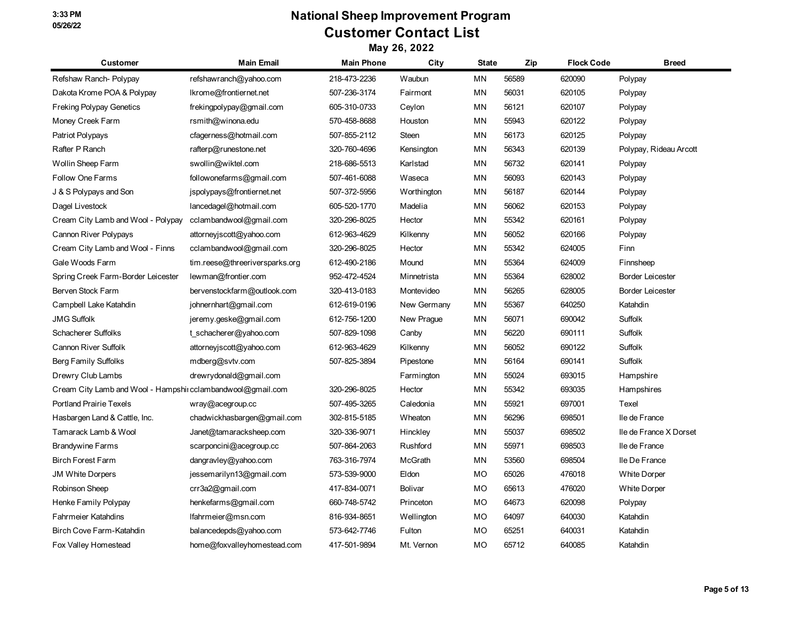| Customer                                                    | <b>Main Email</b>              | <b>Main Phone</b> | City        | <b>State</b> | Zip   | <b>Flock Code</b> | <b>Breed</b>            |
|-------------------------------------------------------------|--------------------------------|-------------------|-------------|--------------|-------|-------------------|-------------------------|
| Refshaw Ranch-Polypay                                       | refshawranch@yahoo.com         | 218-473-2236      | Waubun      | MN           | 56589 | 620090            | Polypay                 |
| Dakota Krome POA & Polypay                                  | Ikrome@frontiernet.net         | 507-236-3174      | Fairmont    | MN           | 56031 | 620105            | Polypay                 |
| <b>Freking Polypay Genetics</b>                             | frekingpolypay@gmail.com       | 605-310-0733      | Ceylon      | MN           | 56121 | 620107            | Polypay                 |
| Money Creek Farm                                            | rsmith@winona.edu              | 570-458-8688      | Houston     | MN           | 55943 | 620122            | Polypay                 |
| Patriot Polypays                                            | cfagerness@hotmail.com         | 507-855-2112      | Steen       | MN           | 56173 | 620125            | Polypay                 |
| Rafter P Ranch                                              | rafterp@runestone.net          | 320-760-4696      | Kensington  | ΜN           | 56343 | 620139            | Polypay, Rideau Arcott  |
| Wollin Sheep Farm                                           | swollin@wiktel.com             | 218-686-5513      | Karlstad    | ΜN           | 56732 | 620141            | Polypay                 |
| <b>Follow One Farms</b>                                     | followonefarms@gmail.com       | 507-461-6088      | Waseca      | MN           | 56093 | 620143            | Polypay                 |
| J & S Polypays and Son                                      | jspolypays@frontiernet.net     | 507-372-5956      | Worthington | MN           | 56187 | 620144            | Polypay                 |
| Dagel Livestock                                             | lancedagel@hotmail.com         | 605-520-1770      | Madelia     | ΜN           | 56062 | 620153            | Polypay                 |
| Cream City Lamb and Wool - Polypay                          | cclambandwool@gmail.com        | 320-296-8025      | Hector      | MN           | 55342 | 620161            | Polypay                 |
| Cannon River Polypays                                       | attorneyjscott@yahoo.com       | 612-963-4629      | Kilkenny    | MN           | 56052 | 620166            | Polypay                 |
| Cream City Lamb and Wool - Finns                            | cclambandwool@gmail.com        | 320-296-8025      | Hector      | MN           | 55342 | 624005            | Finn                    |
| Gale Woods Farm                                             | tim.reese@threeriversparks.org | 612-490-2186      | Mound       | ΜN           | 55364 | 624009            | Finnsheep               |
| Spring Creek Farm-Border Leicester                          | lewman@frontier.com            | 952-472-4524      | Minnetrista | ΜN           | 55364 | 628002            | <b>Border Leicester</b> |
| Berven Stock Farm                                           | bervenstockfarm@outlook.com    | 320-413-0183      | Montevideo  | MN           | 56265 | 628005            | <b>Border Leicester</b> |
| Campbell Lake Katahdin                                      | johnernhart@gmail.com          | 612-619-0196      | New Germany | MN           | 55367 | 640250            | Katahdin                |
| <b>JMG Suffolk</b>                                          | jeremy.geske@gmail.com         | 612-756-1200      | New Prague  | ΜN           | 56071 | 690042            | Suffolk                 |
| Schacherer Suffolks                                         | t schacherer@yahoo.com         | 507-829-1098      | Canby       | ΜN           | 56220 | 690111            | Suffolk                 |
| Cannon River Suffolk                                        | attorneyjscott@yahoo.com       | 612-963-4629      | Kilkenny    | MN           | 56052 | 690122            | <b>Suffolk</b>          |
| Berg Family Suffolks                                        | mdberg@svtv.com                | 507-825-3894      | Pipestone   | ΜN           | 56164 | 690141            | Suffolk                 |
| Drewry Club Lambs                                           | drewrydonald@gmail.com         |                   | Farmington  | MN           | 55024 | 693015            | Hampshire               |
| Cream City Lamb and Wool - Hampshii cclambandwool@gmail.com |                                | 320-296-8025      | Hector      | ΜN           | 55342 | 693035            | Hampshires              |
| <b>Portland Prairie Texels</b>                              | wray@acegroup.cc               | 507-495-3265      | Caledonia   | <b>MN</b>    | 55921 | 697001            | Texel                   |
| Hasbargen Land & Cattle, Inc.                               | chadwickhasbargen@gmail.com    | 302-815-5185      | Wheaton     | MN           | 56296 | 698501            | lle de France           |
| Tamarack Lamb & Wool                                        | Janet@tamaracksheep.com        | 320-336-9071      | Hinckley    | MN           | 55037 | 698502            | Ile de France X Dorset  |
| <b>Brandywine Farms</b>                                     | scarponcini@acegroup.cc        | 507-864-2063      | Rushford    | ΜN           | 55971 | 698503            | lle de France           |
| <b>Birch Forest Farm</b>                                    | dangravley@yahoo.com           | 763-316-7974      | McGrath     | MN           | 53560 | 698504            | lle De France           |
| <b>JM White Dorpers</b>                                     | jessemarilyn13@gmail.com       | 573-539-9000      | Eldon       | MO           | 65026 | 476018            | <b>White Dorper</b>     |
| Robinson Sheep                                              | crr3a2@gmail.com               | 417-834-0071      | Bolivar     | MO           | 65613 | 476020            | <b>White Dorper</b>     |
| Henke Family Polypay                                        | henkefarms@gmail.com           | 660-748-5742      | Princeton   | MO           | 64673 | 620098            | Polypay                 |
| Fahrmeier Katahdins                                         | Ifahrmeier@msn.com             | 816-934-8651      | Wellington  | МO           | 64097 | 640030            | Katahdin                |
| Birch Cove Farm-Katahdin                                    | balancedepds@yahoo.com         | 573-642-7746      | Fulton      | MO           | 65251 | 640031            | Katahdin                |
| Fox Valley Homestead                                        | home@foxvalleyhomestead.com    | 417-501-9894      | Mt. Vernon  | MO           | 65712 | 640085            | Katahdin                |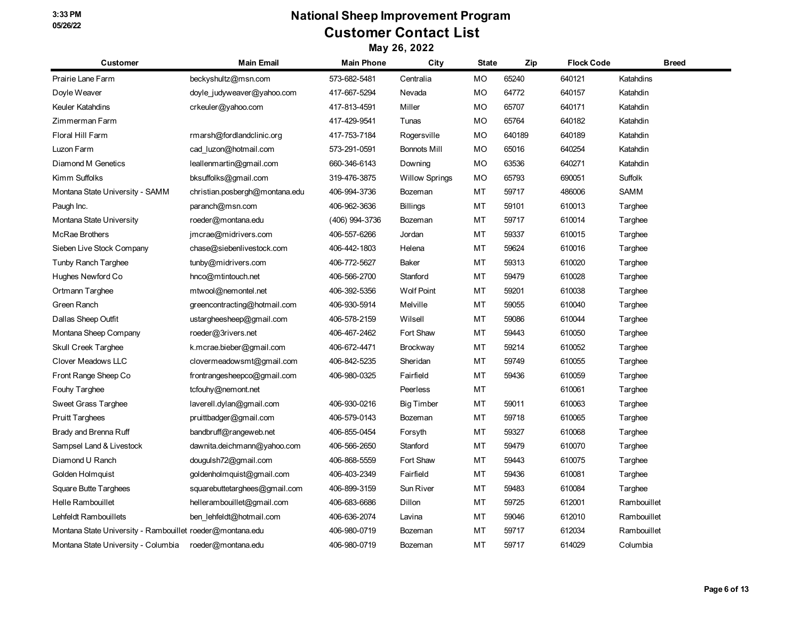## **National Sheep Improvement Program Customer Contact List**

| Customer                                                  | <b>Main Email</b>              | <b>Main Phone</b> | City                  | State     | Zip    | <b>Flock Code</b> | <b>Breed</b>   |
|-----------------------------------------------------------|--------------------------------|-------------------|-----------------------|-----------|--------|-------------------|----------------|
| Prairie Lane Farm                                         | beckyshultz@msn.com            | 573-682-5481      | Centralia             | <b>MO</b> | 65240  | 640121            | Katahdins      |
| Doyle Weaver                                              | doyle judyweaver@yahoo.com     | 417-667-5294      | Nevada                | MO        | 64772  | 640157            | Katahdin       |
| Keuler Katahdins                                          | crkeuler@yahoo.com             | 417-813-4591      | Miller                | MO        | 65707  | 640171            | Katahdin       |
| Zimmerman Farm                                            |                                | 417-429-9541      | Tunas                 | MO        | 65764  | 640182            | Katahdin       |
| Floral Hill Farm                                          | rmarsh@fordlandclinic.org      | 417-753-7184      | Rogersville           | MO        | 640189 | 640189            | Katahdin       |
| Luzon Farm                                                | cad luzon@hotmail.com          | 573-291-0591      | <b>Bonnots Mill</b>   | MO        | 65016  | 640254            | Katahdin       |
| Diamond M Genetics                                        | leallenmartin@gmail.com        | 660-346-6143      | Downing               | MO        | 63536  | 640271            | Katahdin       |
| Kimm Suffolks                                             | bksuffolks@gmail.com           | 319-476-3875      | <b>Willow Springs</b> | MO        | 65793  | 690051            | <b>Suffolk</b> |
| Montana State University - SAMM                           | christian.posbergh@montana.edu | 406-994-3736      | Bozeman               | MT        | 59717  | 486006            | <b>SAMM</b>    |
| Paugh Inc.                                                | paranch@msn.com                | 406-962-3636      | <b>Billings</b>       | MT        | 59101  | 610013            | Targhee        |
| Montana State University                                  | roeder@montana.edu             | (406) 994-3736    | Bozeman               | МT        | 59717  | 610014            | Targhee        |
| <b>McRae Brothers</b>                                     | jmcrae@midrivers.com           | 406-557-6266      | Jordan                | MT        | 59337  | 610015            | Targhee        |
| Sieben Live Stock Company                                 | chase@siebenlivestock.com      | 406-442-1803      | Helena                | МT        | 59624  | 610016            | Targhee        |
| Tunby Ranch Targhee                                       | tunby@midrivers.com            | 406-772-5627      | Baker                 | MT        | 59313  | 610020            | Targhee        |
| Hughes Newford Co                                         | hnco@mtintouch.net             | 406-566-2700      | Stanford              | МT        | 59479  | 610028            | Targhee        |
| Ortmann Targhee                                           | mtwool@nemontel.net            | 406-392-5356      | <b>Wolf Point</b>     | МT        | 59201  | 610038            | Targhee        |
| Green Ranch                                               | greencontracting@hotmail.com   | 406-930-5914      | Melville              | MT        | 59055  | 610040            | Targhee        |
| Dallas Sheep Outfit                                       | ustargheesheep@gmail.com       | 406-578-2159      | Wilsell               | МT        | 59086  | 610044            | Targhee        |
| Montana Sheep Company                                     | roeder@3rivers.net             | 406-467-2462      | Fort Shaw             | MT        | 59443  | 610050            | Targhee        |
| Skull Creek Targhee                                       | k.mcrae.bieber@gmail.com       | 406-672-4471      | <b>Brockway</b>       | МT        | 59214  | 610052            | Targhee        |
| Clover Meadows LLC                                        | clovermeadowsmt@gmail.com      | 406-842-5235      | Sheridan              | МT        | 59749  | 610055            | Targhee        |
| Front Range Sheep Co                                      | frontrangesheepco@gmail.com    | 406-980-0325      | Fairfield             | MT        | 59436  | 610059            | Targhee        |
| Fouhy Targhee                                             | tcfouhy@nemont.net             |                   | Peerless              | MT        |        | 610061            | Targhee        |
| Sweet Grass Targhee                                       | laverell.dylan@gmail.com       | 406-930-0216      | <b>Big Timber</b>     | MT        | 59011  | 610063            | Targhee        |
| <b>Pruitt Targhees</b>                                    | pruittbadger@gmail.com         | 406-579-0143      | Bozeman               | МT        | 59718  | 610065            | Targhee        |
| Brady and Brenna Ruff                                     | bandbruff@rangeweb.net         | 406-855-0454      | Forsyth               | МT        | 59327  | 610068            | Targhee        |
| Sampsel Land & Livestock                                  | dawnita.deichmann@yahoo.com    | 406-566-2650      | Stanford              | MT        | 59479  | 610070            | Targhee        |
| Diamond U Ranch                                           | dougulsh72@gmail.com           | 406-868-5559      | Fort Shaw             | МT        | 59443  | 610075            | Targhee        |
| Golden Holmquist                                          | goldenholmquist@gmail.com      | 406-403-2349      | Fairfield             | MT        | 59436  | 610081            | Targhee        |
| Square Butte Targhees                                     | squarebuttetarghees@gmail.com  | 406-899-3159      | Sun River             | МT        | 59483  | 610084            | Targhee        |
| Helle Rambouillet                                         | hellerambouillet@gmail.com     | 406-683-6686      | Dillon                | MT        | 59725  | 612001            | Rambouillet    |
| Lehfeldt Rambouillets                                     | ben lehfeldt@hotmail.com       | 406-636-2074      | Lavina                | МT        | 59046  | 612010            | Rambouillet    |
| Montana State University - Rambouillet roeder@montana.edu |                                | 406-980-0719      | Bozeman               | MT        | 59717  | 612034            | Rambouillet    |
| Montana State University - Columbia                       | roeder@montana.edu             | 406-980-0719      | Bozeman               | МT        | 59717  | 614029            | Columbia       |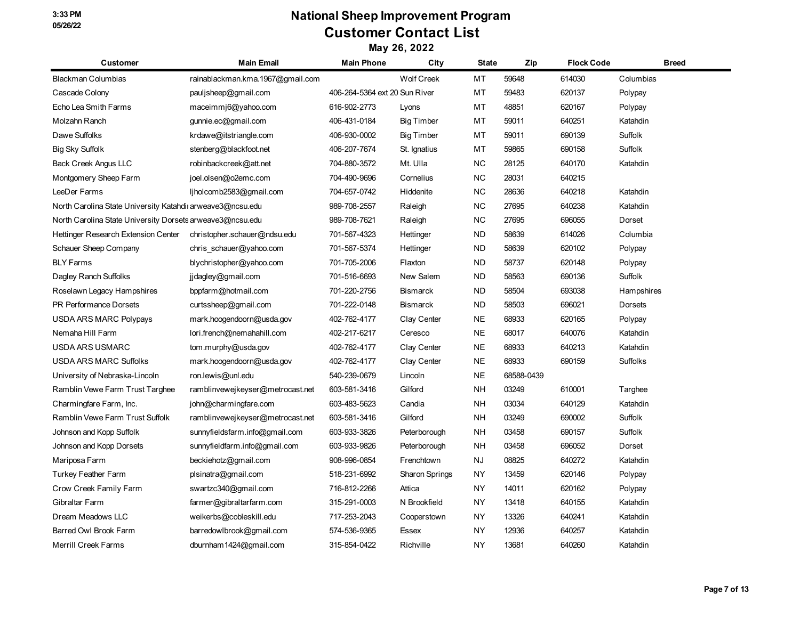| <b>Customer</b>                                           | <b>Main Email</b>                | <b>Main Phone</b>             | City                  | State     | Zip        | <b>Flock Code</b> | <b>Breed</b>    |
|-----------------------------------------------------------|----------------------------------|-------------------------------|-----------------------|-----------|------------|-------------------|-----------------|
| <b>Blackman Columbias</b>                                 | rainablackman.kma.1967@gmail.com |                               | <b>Wolf Creek</b>     | MT        | 59648      | 614030            | Columbias       |
| Cascade Colony                                            | paulisheep@gmail.com             | 406-264-5364 ext 20 Sun River |                       | MT        | 59483      | 620137            | Polypay         |
| Echo Lea Smith Farms                                      | maceimmi6@yahoo.com              | 616-902-2773                  | Lyons                 | МT        | 48851      | 620167            | Polypay         |
| Molzahn Ranch                                             | gunnie.ec@gmail.com              | 406-431-0184                  | <b>Big Timber</b>     | MT        | 59011      | 640251            | Katahdin        |
| Dawe Suffolks                                             | krdawe@itstriangle.com           | 406-930-0002                  | <b>Big Timber</b>     | MT        | 59011      | 690139            | Suffolk         |
| Big Sky Suffolk                                           | stenberg@blackfoot.net           | 406-207-7674                  | St. Ignatius          | МT        | 59865      | 690158            | Suffolk         |
| <b>Back Creek Angus LLC</b>                               | robinbackcreek@att.net           | 704-880-3572                  | Mt. Ulla              | <b>NC</b> | 28125      | 640170            | Katahdin        |
| Montgomery Sheep Farm                                     | joel.olsen@o2emc.com             | 704-490-9696                  | Cornelius             | <b>NC</b> | 28031      | 640215            |                 |
| LeeDer Farms                                              | ljholcomb2583@gmail.com          | 704-657-0742                  | Hiddenite             | <b>NC</b> | 28636      | 640218            | Katahdin        |
| North Carolina State University Katahdi arweave3@ncsu.edu |                                  | 989-708-2557                  | Raleigh               | NC        | 27695      | 640238            | Katahdin        |
| North Carolina State University Dorsets arweave3@ncsu.edu |                                  | 989-708-7621                  | Raleigh               | ΝC        | 27695      | 696055            | Dorset          |
| Hettinger Research Extension Center                       | christopher.schauer@ndsu.edu     | 701-567-4323                  | Hettinger             | ND        | 58639      | 614026            | Columbia        |
| Schauer Sheep Company                                     | chris schauer@yahoo.com          | 701-567-5374                  | Hettinger             | ND        | 58639      | 620102            | Polypay         |
| <b>BLY Farms</b>                                          | blychristopher@yahoo.com         | 701-705-2006                  | Flaxton               | <b>ND</b> | 58737      | 620148            | Polypay         |
| Dagley Ranch Suffolks                                     | jjdagley@gmail.com               | 701-516-6693                  | New Salem             | <b>ND</b> | 58563      | 690136            | Suffolk         |
| Roselawn Legacy Hampshires                                | bppfarm@hotmail.com              | 701-220-2756                  | <b>Bismarck</b>       | <b>ND</b> | 58504      | 693038            | Hampshires      |
| PR Performance Dorsets                                    | curtssheep@gmail.com             | 701-222-0148                  | <b>Bismarck</b>       | <b>ND</b> | 58503      | 696021            | <b>Dorsets</b>  |
| <b>USDA ARS MARC Polypays</b>                             | mark.hoogendoorn@usda.gov        | 402-762-4177                  | Clay Center           | NE        | 68933      | 620165            | Polypay         |
| Nemaha Hill Farm                                          | lori.french@nemahahill.com       | 402-217-6217                  | Ceresco               | <b>NE</b> | 68017      | 640076            | Katahdin        |
| USDA ARS USMARC                                           | tom.murphy@usda.gov              | 402-762-4177                  | Clay Center           | <b>NE</b> | 68933      | 640213            | Katahdin        |
| <b>USDA ARS MARC Suffolks</b>                             | mark.hoogendoorn@usda.gov        | 402-762-4177                  | Clay Center           | <b>NE</b> | 68933      | 690159            | <b>Suffolks</b> |
| University of Nebraska-Lincoln                            | ron.lewis@unl.edu                | 540-239-0679                  | Lincoln               | <b>NE</b> | 68588-0439 |                   |                 |
| Ramblin Vewe Farm Trust Targhee                           | ramblinvewejkeyser@metrocast.net | 603-581-3416                  | Gilford               | <b>NH</b> | 03249      | 610001            | Targhee         |
| Charmingfare Farm, Inc.                                   | john@charmingfare.com            | 603-483-5623                  | Candia                | <b>NH</b> | 03034      | 640129            | Katahdin        |
| Ramblin Vewe Farm Trust Suffolk                           | ramblinvewejkeyser@metrocast.net | 603-581-3416                  | Gilford               | NΗ        | 03249      | 690002            | Suffolk         |
| Johnson and Kopp Suffolk                                  | sunnyfieldsfarm.info@gmail.com   | 603-933-3826                  | Peterborough          | NΗ        | 03458      | 690157            | Suffolk         |
| Johnson and Kopp Dorsets                                  | sunnyfieldfarm.info@gmail.com    | 603-933-9826                  | Peterborough          | NH        | 03458      | 696052            | Dorset          |
| Mariposa Farm                                             | beckiehotz@gmail.com             | 908-996-0854                  | Frenchtown            | ΝJ        | 08825      | 640272            | Katahdin        |
| Turkey Feather Farm                                       | plsinatra@gmail.com              | 518-231-6992                  | <b>Sharon Springs</b> | NY        | 13459      | 620146            | Polypay         |
| Crow Creek Family Farm                                    | swartzc340@gmail.com             | 716-812-2266                  | Attica                | NY        | 14011      | 620162            | Polypay         |
| Gibraltar Farm                                            | farmer@gibraltarfarm.com         | 315-291-0003                  | N Brookfield          | NΥ        | 13418      | 640155            | Katahdin        |
| Dream Meadows LLC                                         | weikerbs@cobleskill.edu          | 717-253-2043                  | Cooperstown           | NY        | 13326      | 640241            | Katahdin        |
| Barred Owl Brook Farm                                     | barredowlbrook@gmail.com         | 574-536-9365                  | Essex                 | NY        | 12936      | 640257            | Katahdin        |
| <b>Merrill Creek Farms</b>                                | dburnham1424@gmail.com           | 315-854-0422                  | Richville             | <b>NY</b> | 13681      | 640260            | Katahdin        |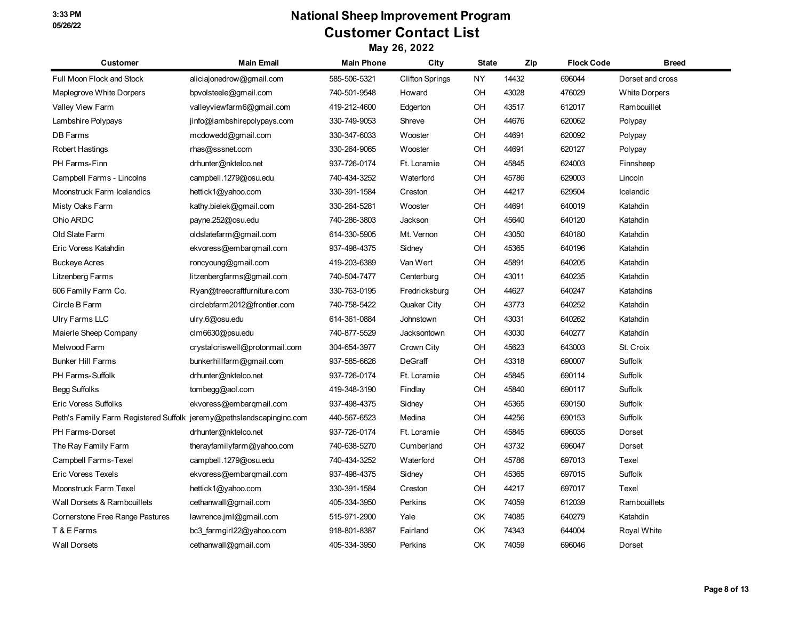| <b>Customer</b>                                                      | <b>Main Email</b>              | <b>Main Phone</b> | City                   | <b>State</b> | Zip   | <b>Flock Code</b> | <b>Breed</b>         |
|----------------------------------------------------------------------|--------------------------------|-------------------|------------------------|--------------|-------|-------------------|----------------------|
| Full Moon Flock and Stock                                            | aliciajonedrow@gmail.com       | 585-506-5321      | <b>Clifton Springs</b> | NY.          | 14432 | 696044            | Dorset and cross     |
| Maplegrove White Dorpers                                             | bpvolsteele@gmail.com          | 740-501-9548      | Howard                 | OH           | 43028 | 476029            | <b>White Dorpers</b> |
| Valley View Farm                                                     | valleyviewfarm6@gmail.com      | 419-212-4600      | Edgerton               | OH           | 43517 | 612017            | Rambouillet          |
| Lambshire Polypays                                                   | jinfo@lambshirepolypays.com    | 330-749-9053      | Shreve                 | OH           | 44676 | 620062            | Polypay              |
| DB Farms                                                             | mcdowedd@gmail.com             | 330-347-6033      | Wooster                | OH           | 44691 | 620092            | Polypay              |
| Robert Hastings                                                      | rhas@sssnet.com                | 330-264-9065      | Wooster                | OH           | 44691 | 620127            | Polypay              |
| PH Farms-Finn                                                        | drhunter@nktelco.net           | 937-726-0174      | Ft. Loramie            | OH           | 45845 | 624003            | Finnsheep            |
| Campbell Farms - Lincolns                                            | campbell.1279@osu.edu          | 740-434-3252      | Waterford              | OH           | 45786 | 629003            | Lincoln              |
| Moonstruck Farm Icelandics                                           | hettick1@yahoo.com             | 330-391-1584      | Creston                | OH           | 44217 | 629504            | Icelandic            |
| Misty Oaks Farm                                                      | kathy.bielek@gmail.com         | 330-264-5281      | Wooster                | OH           | 44691 | 640019            | Katahdin             |
| Ohio ARDC                                                            | payne.252@osu.edu              | 740-286-3803      | Jackson                | OH           | 45640 | 640120            | Katahdin             |
| Old Slate Farm                                                       | oldslatefarm@gmail.com         | 614-330-5905      | Mt. Vernon             | OH           | 43050 | 640180            | Katahdin             |
| Eric Voress Katahdin                                                 | ekvoress@embarqmail.com        | 937-498-4375      | Sidney                 | OH           | 45365 | 640196            | Katahdin             |
| <b>Buckeye Acres</b>                                                 | roncyoung@gmail.com            | 419-203-6389      | Van Wert               | OH           | 45891 | 640205            | Katahdin             |
| Litzenberg Farms                                                     | litzenbergfarms@gmail.com      | 740-504-7477      | Centerburg             | OH           | 43011 | 640235            | Katahdin             |
| 606 Family Farm Co.                                                  | Ryan@treecraftfurniture.com    | 330-763-0195      | Fredricksburg          | OH           | 44627 | 640247            | Katahdins            |
| Circle B Farm                                                        | circlebfarm2012@frontier.com   | 740-758-5422      | Quaker City            | OH           | 43773 | 640252            | Katahdin             |
| Ulry Farms LLC                                                       | ulry.6@osu.edu                 | 614-361-0884      | Johnstown              | OH           | 43031 | 640262            | Katahdin             |
| Maierle Sheep Company                                                | clm6630@psu.edu                | 740-877-5529      | Jacksontown            | OH           | 43030 | 640277            | Katahdin             |
| Melwood Farm                                                         | crystalcriswell@protonmail.com | 304-654-3977      | Crown City             | OH           | 45623 | 643003            | St. Croix            |
| <b>Bunker Hill Farms</b>                                             | bunkerhillfarm@gmail.com       | 937-585-6626      | DeGraff                | OH           | 43318 | 690007            | Suffolk              |
| PH Farms-Suffolk                                                     | drhunter@nktelco.net           | 937-726-0174      | Ft. Loramie            | OH           | 45845 | 690114            | Suffolk              |
| Begg Suffolks                                                        | $tom$ begg@aol.com             | 419-348-3190      | Findlay                | OH           | 45840 | 690117            | Suffolk              |
| <b>Eric Voress Suffolks</b>                                          | ekvoress@embarqmail.com        | 937-498-4375      | Sidney                 | OH           | 45365 | 690150            | Suffolk              |
| Peth's Family Farm Registered Suffolk jeremy@pethslandscapinginc.com |                                | 440-567-6523      | Medina                 | OH           | 44256 | 690153            | Suffolk              |
| PH Farms-Dorset                                                      | drhunter@nktelco.net           | 937-726-0174      | Ft. Loramie            | OH           | 45845 | 696035            | Dorset               |
| The Ray Family Farm                                                  | therayfamilyfarm@yahoo.com     | 740-638-5270      | Cumberland             | OH           | 43732 | 696047            | Dorset               |
| Campbell Farms-Texel                                                 | campbell.1279@osu.edu          | 740-434-3252      | Waterford              | OH           | 45786 | 697013            | Texel                |
| Eric Voress Texels                                                   | ekvoress@embarqmail.com        | 937-498-4375      | Sidney                 | OH           | 45365 | 697015            | Suffolk              |
| Moonstruck Farm Texel                                                | hettick1@yahoo.com             | 330-391-1584      | Creston                | OH           | 44217 | 697017            | Texel                |
| Wall Dorsets & Rambouillets                                          | cethanwall@gmail.com           | 405-334-3950      | Perkins                | OK           | 74059 | 612039            | Rambouillets         |
| Cornerstone Free Range Pastures                                      | lawrence.jml@gmail.com         | 515-971-2900      | Yale                   | OK           | 74085 | 640279            | Katahdin             |
| T & E Farms                                                          | bc3 farmgirl22@yahoo.com       | 918-801-8387      | Fairland               | OK           | 74343 | 644004            | Royal White          |
| <b>Wall Dorsets</b>                                                  | cethanwall@gmail.com           | 405-334-3950      | Perkins                | OK           | 74059 | 696046            | Dorset               |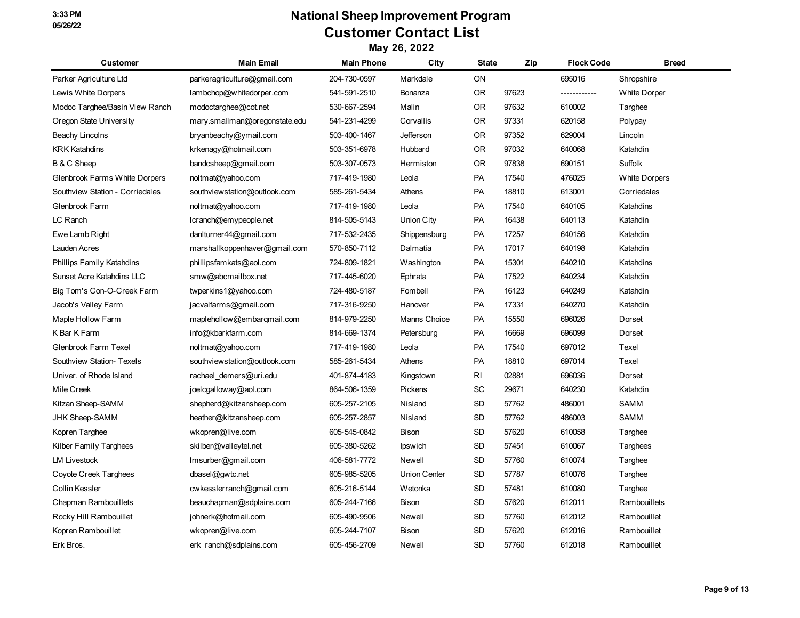| Customer                        | <b>Main Email</b>             | <b>Main Phone</b> | City                | <b>State</b> | Zip   | <b>Flock Code</b> | <b>Breed</b>         |
|---------------------------------|-------------------------------|-------------------|---------------------|--------------|-------|-------------------|----------------------|
| Parker Agriculture Ltd          | parkeragriculture@gmail.com   | 204-730-0597      | Markdale            | ON           |       | 695016            | Shropshire           |
| Lewis White Dorpers             | lambchop@whitedorper.com      | 541-591-2510      | Bonanza             | <b>OR</b>    | 97623 | ------------      | <b>White Dorper</b>  |
| Modoc Targhee/Basin View Ranch  | modoctarghee@cot.net          | 530-667-2594      | Malin               | <b>OR</b>    | 97632 | 610002            | Targhee              |
| Oregon State University         | mary.smallman@oregonstate.edu | 541-231-4299      | Corvallis           | <b>OR</b>    | 97331 | 620158            | Polypay              |
| Beachy Lincolns                 | bryanbeachy@ymail.com         | 503-400-1467      | Jefferson           | <b>OR</b>    | 97352 | 629004            | Lincoln              |
| <b>KRK Katahdins</b>            | krkenagy@hotmail.com          | 503-351-6978      | Hubbard             | <b>OR</b>    | 97032 | 640068            | Katahdin             |
| B & C Sheep                     | bandcsheep@gmail.com          | 503-307-0573      | Hermiston           | <b>OR</b>    | 97838 | 690151            | Suffolk              |
| Glenbrook Farms White Dorpers   | noltmat@yahoo.com             | 717-419-1980      | Leola               | PA           | 17540 | 476025            | <b>White Dorpers</b> |
| Southview Station - Corriedales | southviewstation@outlook.com  | 585-261-5434      | Athens              | PA           | 18810 | 613001            | Corriedales          |
| Glenbrook Farm                  | noltmat@yahoo.com             | 717-419-1980      | Leola               | PA           | 17540 | 640105            | Katahdins            |
| LC Ranch                        | lcranch@emypeople.net         | 814-505-5143      | Union City          | <b>PA</b>    | 16438 | 640113            | Katahdin             |
| Ewe Lamb Right                  | danlturner44@gmail.com        | 717-532-2435      | Shippensburg        | PA           | 17257 | 640156            | Katahdin             |
| Lauden Acres                    | marshallkoppenhaver@gmail.com | 570-850-7112      | Dalmatia            | PA           | 17017 | 640198            | Katahdin             |
| Phillips Family Katahdins       | phillipsfamkats@aol.com       | 724-809-1821      | Washington          | PA           | 15301 | 640210            | Katahdins            |
| Sunset Acre Katahdins LLC       | smw@abcmailbox.net            | 717-445-6020      | Ephrata             | PA           | 17522 | 640234            | Katahdin             |
| Big Tom's Con-O-Creek Farm      | twperkins1@yahoo.com          | 724-480-5187      | Fombell             | <b>PA</b>    | 16123 | 640249            | Katahdin             |
| Jacob's Valley Farm             | jacvalfarms@gmail.com         | 717-316-9250      | Hanover             | PA           | 17331 | 640270            | Katahdin             |
| Maple Hollow Farm               | maplehollow@embarqmail.com    | 814-979-2250      | Manns Choice        | PA           | 15550 | 696026            | Dorset               |
| K Bar K Farm                    | info@kbarkfarm.com            | 814-669-1374      | Petersburg          | PA           | 16669 | 696099            | Dorset               |
| Glenbrook Farm Texel            | noltmat@yahoo.com             | 717-419-1980      | Leola               | PA           | 17540 | 697012            | Texel                |
| Southview Station- Texels       | southviewstation@outlook.com  | 585-261-5434      | Athens              | PA           | 18810 | 697014            | Texel                |
| Univer. of Rhode Island         | rachael demers@uri.edu        | 401-874-4183      | Kingstown           | RI           | 02881 | 696036            | Dorset               |
| Mile Creek                      | joelcgalloway@aol.com         | 864-506-1359      | Pickens             | <b>SC</b>    | 29671 | 640230            | Katahdin             |
| Kitzan Sheep-SAMM               | shepherd@kitzansheep.com      | 605-257-2105      | Nisland             | <b>SD</b>    | 57762 | 486001            | <b>SAMM</b>          |
| <b>JHK Sheep-SAMM</b>           | heather@kitzansheep.com       | 605-257-2857      | Nisland             | <b>SD</b>    | 57762 | 486003            | SAMM                 |
| Kopren Targhee                  | wkopren@live.com              | 605-545-0842      | Bison               | <b>SD</b>    | 57620 | 610058            | Targhee              |
| Kilber Family Targhees          | skilber@valleytel.net         | 605-380-5262      | Ipswich             | SD           | 57451 | 610067            | Targhees             |
| <b>LM Livestock</b>             | Imsurber@gmail.com            | 406-581-7772      | Newell              | <b>SD</b>    | 57760 | 610074            | Targhee              |
| Coyote Creek Targhees           | dbasel@gwtc.net               | 605-985-5205      | <b>Union Center</b> | <b>SD</b>    | 57787 | 610076            | Targhee              |
| Collin Kessler                  | cwkesslerranch@gmail.com      | 605-216-5144      | Wetonka             | SD           | 57481 | 610080            | Targhee              |
| Chapman Rambouillets            | beauchapman@sdplains.com      | 605-244-7166      | Bison               | SD           | 57620 | 612011            | Rambouillets         |
| Rocky Hill Rambouillet          | johnerk@hotmail.com           | 605-490-9506      | Newell              | <b>SD</b>    | 57760 | 612012            | Rambouillet          |
| Kopren Rambouillet              | wkopren@live.com              | 605-244-7107      | Bison               | <b>SD</b>    | 57620 | 612016            | Rambouillet          |
| Erk Bros.                       | erk ranch@sdplains.com        | 605-456-2709      | Newell              | <b>SD</b>    | 57760 | 612018            | Rambouillet          |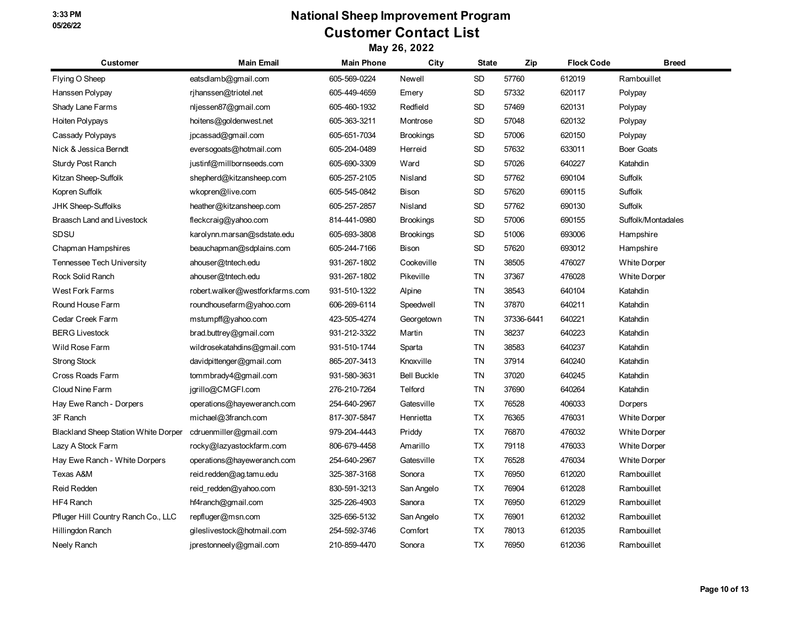| <b>Customer</b>                      | <b>Main Email</b>               | <b>Main Phone</b> | City               | <b>State</b> | Zip        | <b>Flock Code</b> | <b>Breed</b>        |
|--------------------------------------|---------------------------------|-------------------|--------------------|--------------|------------|-------------------|---------------------|
| Flying O Sheep                       | eatsdlamb@gmail.com             | 605-569-0224      | Newell             | SD           | 57760      | 612019            | Rambouillet         |
| Hanssen Polypay                      | rjhanssen@triotel.net           | 605-449-4659      | Emery              | SD           | 57332      | 620117            | Polypay             |
| Shady Lane Farms                     | nljessen87@gmail.com            | 605-460-1932      | Redfield           | SD           | 57469      | 620131            | Polypay             |
| Hoiten Polypays                      | hoitens@goldenwest.net          | 605-363-3211      | Montrose           | SD           | 57048      | 620132            | Polypay             |
| Cassady Polypays                     | jpcassad@gmail.com              | 605-651-7034      | <b>Brookings</b>   | SD           | 57006      | 620150            | Polypay             |
| Nick & Jessica Berndt                | eversogoats@hotmail.com         | 605-204-0489      | Herreid            | SD           | 57632      | 633011            | <b>Boer Goats</b>   |
| <b>Sturdy Post Ranch</b>             | justinf@millbornseeds.com       | 605-690-3309      | Ward               | SD           | 57026      | 640227            | Katahdin            |
| Kitzan Sheep-Suffolk                 | shepherd@kitzansheep.com        | 605-257-2105      | Nisland            | SD           | 57762      | 690104            | <b>Suffolk</b>      |
| Kopren Suffolk                       | wkopren@live.com                | 605-545-0842      | Bison              | SD           | 57620      | 690115            | Suffolk             |
| <b>JHK Sheep-Suffolks</b>            | heather@kitzansheep.com         | 605-257-2857      | Nisland            | SD           | 57762      | 690130            | <b>Suffolk</b>      |
| <b>Braasch Land and Livestock</b>    | fleckcraig@yahoo.com            | 814-441-0980      | <b>Brookings</b>   | SD           | 57006      | 690155            | Suffolk/Montadales  |
| SDSU                                 | karolynn.marsan@sdstate.edu     | 605-693-3808      | <b>Brookings</b>   | SD           | 51006      | 693006            | Hampshire           |
| Chapman Hampshires                   | beauchapman@sdplains.com        | 605-244-7166      | Bison              | SD           | 57620      | 693012            | Hampshire           |
| Tennessee Tech University            | ahouser@tntech.edu              | 931-267-1802      | Cookeville         | TN           | 38505      | 476027            | <b>White Dorper</b> |
| Rock Solid Ranch                     | ahouser@tntech.edu              | 931-267-1802      | Pikeville          | <b>TN</b>    | 37367      | 476028            | <b>White Dorper</b> |
| <b>West Fork Farms</b>               | robert.walker@westforkfarms.com | 931-510-1322      | Alpine             | <b>TN</b>    | 38543      | 640104            | Katahdin            |
| Round House Farm                     | roundhousefarm@yahoo.com        | 606-269-6114      | Speedwell          | TN           | 37870      | 640211            | Katahdin            |
| Cedar Creek Farm                     | mstumpff@yahoo.com              | 423-505-4274      | Georgetown         | TN           | 37336-6441 | 640221            | Katahdin            |
| <b>BERG Livestock</b>                | brad.buttrey@gmail.com          | 931-212-3322      | Martin             | <b>TN</b>    | 38237      | 640223            | Katahdin            |
| Wild Rose Farm                       | wildrosekatahdins@gmail.com     | 931-510-1744      | Sparta             | <b>TN</b>    | 38583      | 640237            | Katahdin            |
| <b>Strong Stock</b>                  | davidpittenger@gmail.com        | 865-207-3413      | Knoxville          | ΤN           | 37914      | 640240            | Katahdin            |
| Cross Roads Farm                     | tommbrady4@gmail.com            | 931-580-3631      | <b>Bell Buckle</b> | TN           | 37020      | 640245            | Katahdin            |
| Cloud Nine Farm                      | jgrillo@CMGFI.com               | 276-210-7264      | Telford            | TN           | 37690      | 640264            | Katahdin            |
| Hay Ewe Ranch - Dorpers              | operations@hayeweranch.com      | 254-640-2967      | Gatesville         | TX           | 76528      | 406033            | Dorpers             |
| 3F Ranch                             | michael@3franch.com             | 817-307-5847      | Henrietta          | TX           | 76365      | 476031            | <b>White Dorper</b> |
| Blackland Sheep Station White Dorper | cdruenmiller@gmail.com          | 979-204-4443      | Priddy             | TX           | 76870      | 476032            | <b>White Dorper</b> |
| Lazy A Stock Farm                    | rocky@lazyastockfarm.com        | 806-679-4458      | Amarillo           | TX           | 79118      | 476033            | <b>White Dorper</b> |
| Hay Ewe Ranch - White Dorpers        | operations@hayeweranch.com      | 254-640-2967      | Gatesville         | TX           | 76528      | 476034            | <b>White Dorper</b> |
| Texas A&M                            | reid.redden@ag.tamu.edu         | 325-387-3168      | Sonora             | ТX           | 76950      | 612020            | Rambouillet         |
| <b>Reid Redden</b>                   | reid redden@yahoo.com           | 830-591-3213      | San Angelo         | TX           | 76904      | 612028            | Rambouillet         |
| HF4 Ranch                            | hf4ranch@gmail.com              | 325-226-4903      | Sanora             | TX           | 76950      | 612029            | Rambouillet         |
| Pfluger Hill Country Ranch Co., LLC  | repfluger@msn.com               | 325-656-5132      | San Angelo         | TX           | 76901      | 612032            | Rambouillet         |
| Hillingdon Ranch                     | gileslivestock@hotmail.com      | 254-592-3746      | Comfort            | TX           | 78013      | 612035            | Rambouillet         |
| Neely Ranch                          | jprestonneely@gmail.com         | 210-859-4470      | Sonora             | TX           | 76950      | 612036            | Rambouillet         |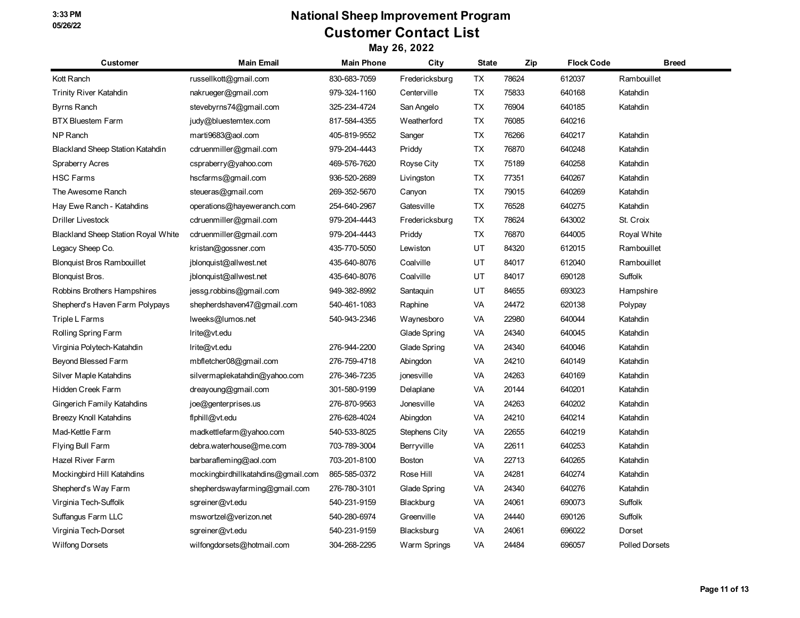| <b>Customer</b>                            | <b>Main Email</b>                  | <b>Main Phone</b> | City                 | <b>State</b> | Zip   | <b>Flock Code</b> | <b>Breed</b>          |
|--------------------------------------------|------------------------------------|-------------------|----------------------|--------------|-------|-------------------|-----------------------|
| Kott Ranch                                 | russellkott@gmail.com              | 830-683-7059      | Fredericksburg       | TX           | 78624 | 612037            | Rambouillet           |
| <b>Trinity River Katahdin</b>              | nakrueger@gmail.com                | 979-324-1160      | Centerville          | <b>TX</b>    | 75833 | 640168            | Katahdin              |
| Byrns Ranch                                | stevebyrns74@gmail.com             | 325-234-4724      | San Angelo           | TX           | 76904 | 640185            | Katahdin              |
| <b>BTX Bluestem Farm</b>                   | judy@bluestemtex.com               | 817-584-4355      | Weatherford          | TX           | 76085 | 640216            |                       |
| <b>NP Ranch</b>                            | marti9683@aol.com                  | 405-819-9552      | Sanger               | TX           | 76266 | 640217            | Katahdin              |
| <b>Blackland Sheep Station Katahdin</b>    | cdruenmiller@gmail.com             | 979-204-4443      | Priddy               | TX           | 76870 | 640248            | Katahdin              |
| <b>Spraberry Acres</b>                     | cspraberry@yahoo.com               | 469-576-7620      | Royse City           | TX           | 75189 | 640258            | Katahdin              |
| <b>HSC Farms</b>                           | hscfarms@gmail.com                 | 936-520-2689      | Livingston           | TX           | 77351 | 640267            | Katahdin              |
| The Awesome Ranch                          | steueras@gmail.com                 | 269-352-5670      | Canyon               | <b>TX</b>    | 79015 | 640269            | Katahdin              |
| Hay Ewe Ranch - Katahdins                  | operations@hayeweranch.com         | 254-640-2967      | Gatesville           | <b>TX</b>    | 76528 | 640275            | Katahdin              |
| <b>Driller Livestock</b>                   | cdruenmiller@gmail.com             | 979-204-4443      | Fredericksburg       | ТX           | 78624 | 643002            | St. Croix             |
| <b>Blackland Sheep Station Royal White</b> | cdruenmiller@gmail.com             | 979-204-4443      | Priddy               | <b>TX</b>    | 76870 | 644005            | Royal White           |
| Legacy Sheep Co.                           | kristan@gossner.com                | 435-770-5050      | Lewiston             | UT           | 84320 | 612015            | Rambouillet           |
| <b>Blonquist Bros Rambouillet</b>          | jblonquist@allwest.net             | 435-640-8076      | Coalville            | UT           | 84017 | 612040            | Rambouillet           |
| Blonquist Bros.                            | jblonquist@allwest.net             | 435-640-8076      | Coalville            | UT           | 84017 | 690128            | Suffolk               |
| Robbins Brothers Hampshires                | jessg.robbins@gmail.com            | 949-382-8992      | Santaquin            | UT           | 84655 | 693023            | Hampshire             |
| Shepherd's Haven Farm Polypays             | shepherdshaven47@gmail.com         | 540-461-1083      | Raphine              | VA           | 24472 | 620138            | Polypay               |
| Triple L Farms                             | lweeks@lumos.net                   | 540-943-2346      | Waynesboro           | VA           | 22980 | 640044            | Katahdin              |
| Rolling Spring Farm                        | Irite@vt.edu                       |                   | Glade Spring         | VA           | 24340 | 640045            | Katahdin              |
| Virginia Polytech-Katahdin                 | Irite@vt.edu                       | 276-944-2200      | Glade Spring         | VA           | 24340 | 640046            | Katahdin              |
| Beyond Blessed Farm                        | mbfletcher08@gmail.com             | 276-759-4718      | Abingdon             | VA           | 24210 | 640149            | Katahdin              |
| Silver Maple Katahdins                     | silvermaplekatahdin@yahoo.com      | 276-346-7235      | jonesville           | VA           | 24263 | 640169            | Katahdin              |
| Hidden Creek Farm                          | dreayoung@gmail.com                | 301-580-9199      | Delaplane            | VA           | 20144 | 640201            | Katahdin              |
| Gingerich Family Katahdins                 | joe@genterprises.us                | 276-870-9563      | Jonesville           | VA           | 24263 | 640202            | Katahdin              |
| <b>Breezy Knoll Katahdins</b>              | flphill@vt.edu                     | 276-628-4024      | Abingdon             | <b>VA</b>    | 24210 | 640214            | Katahdin              |
| Mad-Kettle Farm                            | madkettlefarm@yahoo.com            | 540-533-8025      | <b>Stephens City</b> | VA           | 22655 | 640219            | Katahdin              |
| Flying Bull Farm                           | debra.waterhouse@me.com            | 703-789-3004      | Berryville           | VA           | 22611 | 640253            | Katahdin              |
| Hazel River Farm                           | barbarafleming@aol.com             | 703-201-8100      | <b>Boston</b>        | VA           | 22713 | 640265            | Katahdin              |
| Mockingbird Hill Katahdins                 | mockingbirdhillkatahdins@gmail.com | 865-585-0372      | Rose Hill            | VA           | 24281 | 640274            | Katahdin              |
| Shepherd's Way Farm                        | shepherdswayfarming@gmail.com      | 276-780-3101      | Glade Spring         | VA           | 24340 | 640276            | Katahdin              |
| Virginia Tech-Suffolk                      | sgreiner@vt.edu                    | 540-231-9159      | Blackburg            | <b>VA</b>    | 24061 | 690073            | Suffolk               |
| Suffangus Farm LLC                         | mswortzel@verizon.net              | 540-280-6974      | Greenville           | VA           | 24440 | 690126            | Suffolk               |
| Virginia Tech-Dorset                       | sgreiner@vt.edu                    | 540-231-9159      | Blacksburg           | VA           | 24061 | 696022            | Dorset                |
| <b>Wilfong Dorsets</b>                     | wilfongdorsets@hotmail.com         | 304-268-2295      | Warm Springs         | VA           | 24484 | 696057            | <b>Polled Dorsets</b> |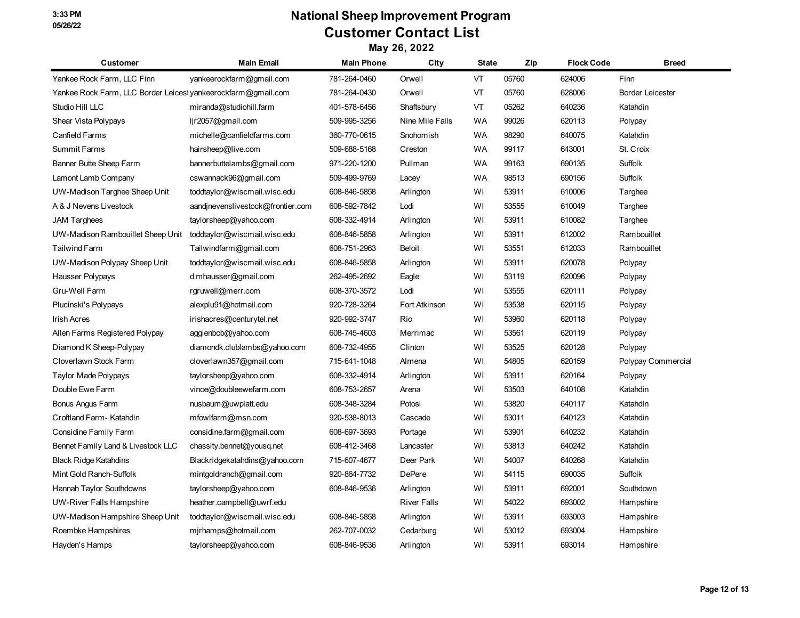| <b>Customer</b>                                               | <b>Main Email</b>                 | <b>Main Phone</b> | City               | <b>State</b> | Zip   | <b>Flock Code</b> | <b>Breed</b>            |
|---------------------------------------------------------------|-----------------------------------|-------------------|--------------------|--------------|-------|-------------------|-------------------------|
| Yankee Rock Farm, LLC Finn                                    | yankeerockfarm@gmail.com          | 781-264-0460      | Orwell             | VT           | 05760 | 624006            | Finn                    |
| Yankee Rock Farm, LLC Border Leicest vankeerockfarm@gmail.com |                                   | 781-264-0430      | Orwell             | VT           | 05760 | 628006            | <b>Border Leicester</b> |
| Studio Hill LLC                                               | miranda@studiohill.farm           | 401-578-6456      | Shaftsbury         | VT           | 05262 | 640236            | Katahdin                |
| Shear Vista Polypays                                          | ljr2057@gmail.com                 | 509-995-3256      | Nine Mile Falls    | <b>WA</b>    | 99026 | 620113            | Polypay                 |
| Canfield Farms                                                | michelle@canfieldfarms.com        | 360-770-0615      | Snohomish          | <b>WA</b>    | 98290 | 640075            | Katahdin                |
| <b>Summit Farms</b>                                           | hairsheep@live.com                | 509-688-5168      | Creston            | <b>WA</b>    | 99117 | 643001            | St. Croix               |
| Banner Butte Sheep Farm                                       | bannerbuttelambs@gmail.com        | 971-220-1200      | Pullman            | WA           | 99163 | 690135            | Suffolk                 |
| Lamont Lamb Company                                           | cswannack96@gmail.com             | 509-499-9769      | Lacey              | <b>WA</b>    | 98513 | 690156            | Suffolk                 |
| UW-Madison Targhee Sheep Unit                                 | toddtaylor@wiscmail.wisc.edu      | 608-846-5858      | Arlington          | WI           | 53911 | 610006            | Targhee                 |
| A & J Nevens Livestock                                        | aandinevenslivestock@frontier.com | 608-592-7842      | Lodi               | WI           | 53555 | 610049            | Targhee                 |
| <b>JAM Targhees</b>                                           | taylorsheep@yahoo.com             | 608-332-4914      | Arlington          | WI           | 53911 | 610082            | Targhee                 |
| UW-Madison Rambouillet Sheep Unit                             | toddtaylor@wiscmail.wisc.edu      | 608-846-5858      | Arlington          | WI           | 53911 | 612002            | Rambouillet             |
| <b>Tailwind Farm</b>                                          | Tailwindfarm@gmail.com            | 608-751-2963      | Beloit             | WI           | 53551 | 612033            | Rambouillet             |
| UW-Madison Polypay Sheep Unit                                 | toddtaylor@wiscmail.wisc.edu      | 608-846-5858      | Arlington          | WI           | 53911 | 620078            | Polypay                 |
| Hausser Polypays                                              | d.mhausser@gmail.com              | 262-495-2692      | Eagle              | WI           | 53119 | 620096            | Polypay                 |
| Gru-Well Farm                                                 | rgruwell@merr.com                 | 608-370-3572      | Lodi               | WI           | 53555 | 620111            | Polypay                 |
| Plucinski's Polypays                                          | alexplu91@hotmail.com             | 920-728-3264      | Fort Atkinson      | WI           | 53538 | 620115            | Polypay                 |
| <b>Irish Acres</b>                                            | irishacres@centurytel.net         | 920-992-3747      | Rio                | WI           | 53960 | 620118            | Polypay                 |
| Allen Farms Registered Polypay                                | aggienbob@yahoo.com               | 608-745-4603      | Merrimac           | WI           | 53561 | 620119            | Polypay                 |
| Diamond K Sheep-Polypay                                       | diamondk.clublambs@yahoo.com      | 608-732-4955      | Clinton            | WI           | 53525 | 620128            | Polypay                 |
| Cloverlawn Stock Farm                                         | cloverlawn357@gmail.com           | 715-641-1048      | Almena             | WI           | 54805 | 620159            | Polypay Commercial      |
| Taylor Made Polypays                                          | taylorsheep@yahoo.com             | 608-332-4914      | Arlington          | WI           | 53911 | 620164            | Polypay                 |
| Double Ewe Farm                                               | vince@doubleewefarm.com           | 608-753-2657      | Arena              | WI           | 53503 | 640108            | Katahdin                |
| Bonus Angus Farm                                              | nusbaum@uwplatt.edu               | 608-348-3284      | Potosi             | WI           | 53820 | 640117            | Katahdin                |
| Croftland Farm-Katahdin                                       | mfowlfarm@msn.com                 | 920-538-8013      | Cascade            | WI           | 53011 | 640123            | Katahdin                |
| Considine Family Farm                                         | considine.farm@gmail.com          | 608-697-3693      | Portage            | WI           | 53901 | 640232            | Katahdin                |
| Bennet Family Land & Livestock LLC                            | chassity.bennet@yousq.net         | 608-412-3468      | Lancaster          | WI           | 53813 | 640242            | Katahdin                |
| <b>Black Ridge Katahdins</b>                                  | Blackridgekatahdins@yahoo.com     | 715-607-4677      | Deer Park          | WI           | 54007 | 640268            | Katahdin                |
| Mint Gold Ranch-Suffolk                                       | mintgoldranch@gmail.com           | 920-864-7732      | DePere             | WI           | 54115 | 690035            | Suffolk                 |
| Hannah Taylor Southdowns                                      | taylorsheep@yahoo.com             | 608-846-9536      | Arlington          | WI           | 53911 | 692001            | Southdown               |
| <b>UW-River Falls Hampshire</b>                               | heather.campbell@uwrf.edu         |                   | <b>River Falls</b> | WI           | 54022 | 693002            | Hampshire               |
| UW-Madison Hampshire Sheep Unit                               | toddtaylor@wiscmail.wisc.edu      | 608-846-5858      | Arlington          | WI           | 53911 | 693003            | Hampshire               |
| Roembke Hampshires                                            | mjrhamps@hotmail.com              | 262-707-0032      | Cedarburg          | WI           | 53012 | 693004            | Hampshire               |
| Hayden's Hamps                                                | taylorsheep@yahoo.com             | 608-846-9536      | Arlington          | WI           | 53911 | 693014            | Hampshire               |